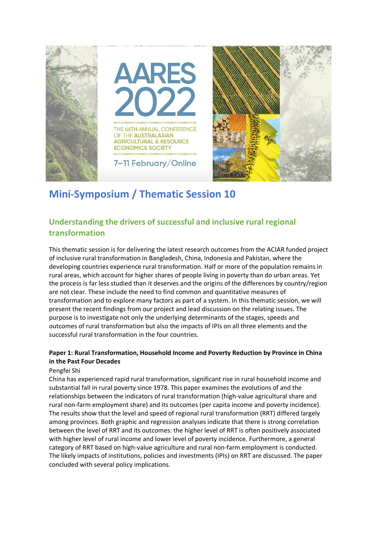

# **Mini-Symposium / Thematic Session 10**

# **Understanding the drivers of successful and inclusive rural regional transformation**

This thematic session is for delivering the latest research outcomes from the ACIAR funded project of inclusive rural transformation in Bangladesh, China, Indonesia and Pakistan, where the developing countries experience rural transformation. Half or more of the population remains in rural areas, which account for higher shares of people living in poverty than do urban areas. Yet the process is far less studied than it deserves and the origins of the differences by country/region are not clear. These include the need to find common and quantitative measures of transformation and to explore many factors as part of a system. In this thematic session, we will present the recent findings from our project and lead discussion on the relating issues. The purpose is to investigate not only the underlying determinants of the stages, speeds and outcomes of rural transformation but also the impacts of IPIs on all three elements and the successful rural transformation in the four countries.

# **Paper 1: Rural Transformation, Household Income and Poverty Reduction by Province in China in the Past Four Decades**

#### Pengfei Shi

China has experienced rapid rural transformation, significant rise in rural household income and substantial fall in rural poverty since 1978. This paper examines the evolutions of and the relationships between the indicators of rural transformation (high-value agricultural share and rural non-farm employment share) and its outcomes (per capita income and poverty incidence). The results show that the level and speed of regional rural transformation (RRT) differed largely among provinces. Both graphic and regression analyses indicate that there is strong correlation between the level of RRT and its outcomes: the higher level of RRT is often positively associated with higher level of rural income and lower level of poverty incidence. Furthermore, a general category of RRT based on high-value agriculture and rural non-farm employment is conducted. The likely impacts of institutions, policies and investments (IPIs) on RRT are discussed. The paper concluded with several policy implications.